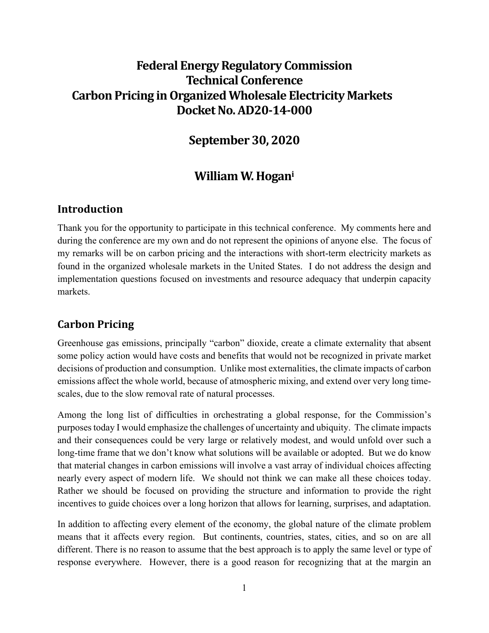# **Federal EnergyRegulatory Commission Technical Conference Carbon Pricing in Organized Wholesale Electricity Markets DocketNo.AD20‐14‐000**

## **September 30, 2020**

## **William W. Hogani**

#### **Introduction**

Thank you for the opportunity to participate in this technical conference. My comments here and during the conference are my own and do not represent the opinions of anyone else. The focus of my remarks will be on carbon pricing and the interactions with short-term electricity markets as found in the organized wholesale markets in the United States. I do not address the design and implementation questions focused on investments and resource adequacy that underpin capacity markets.

#### **Carbon Pricing**

Greenhouse gas emissions, principally "carbon" dioxide, create a climate externality that absent some policy action would have costs and benefits that would not be recognized in private market decisions of production and consumption. Unlike most externalities, the climate impacts of carbon emissions affect the whole world, because of atmospheric mixing, and extend over very long timescales, due to the slow removal rate of natural processes.

Among the long list of difficulties in orchestrating a global response, for the Commission's purposes today I would emphasize the challenges of uncertainty and ubiquity. The climate impacts and their consequences could be very large or relatively modest, and would unfold over such a long-time frame that we don't know what solutions will be available or adopted. But we do know that material changes in carbon emissions will involve a vast array of individual choices affecting nearly every aspect of modern life. We should not think we can make all these choices today. Rather we should be focused on providing the structure and information to provide the right incentives to guide choices over a long horizon that allows for learning, surprises, and adaptation.

In addition to affecting every element of the economy, the global nature of the climate problem means that it affects every region. But continents, countries, states, cities, and so on are all different. There is no reason to assume that the best approach is to apply the same level or type of response everywhere. However, there is a good reason for recognizing that at the margin an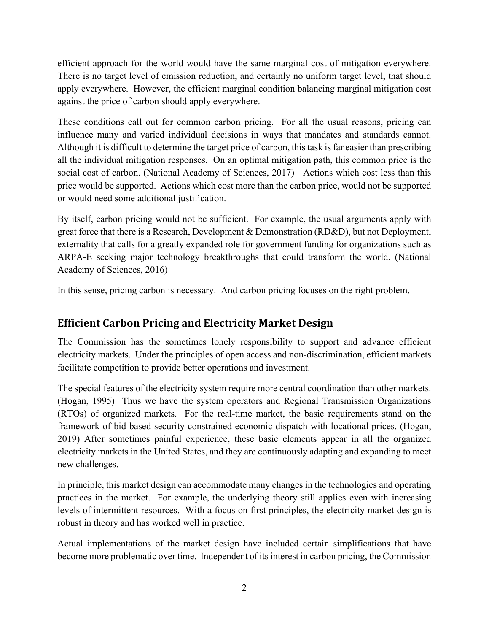efficient approach for the world would have the same marginal cost of mitigation everywhere. There is no target level of emission reduction, and certainly no uniform target level, that should apply everywhere. However, the efficient marginal condition balancing marginal mitigation cost against the price of carbon should apply everywhere.

These conditions call out for common carbon pricing. For all the usual reasons, pricing can influence many and varied individual decisions in ways that mandates and standards cannot. Although it is difficult to determine the target price of carbon, this task is far easier than prescribing all the individual mitigation responses. On an optimal mitigation path, this common price is the social cost of carbon. (National Academy of Sciences, 2017) Actions which cost less than this price would be supported. Actions which cost more than the carbon price, would not be supported or would need some additional justification.

By itself, carbon pricing would not be sufficient. For example, the usual arguments apply with great force that there is a Research, Development & Demonstration (RD&D), but not Deployment, externality that calls for a greatly expanded role for government funding for organizations such as ARPA-E seeking major technology breakthroughs that could transform the world. (National Academy of Sciences, 2016)

In this sense, pricing carbon is necessary. And carbon pricing focuses on the right problem.

## **Efficient Carbon Pricing and Electricity Market Design**

The Commission has the sometimes lonely responsibility to support and advance efficient electricity markets. Under the principles of open access and non-discrimination, efficient markets facilitate competition to provide better operations and investment.

The special features of the electricity system require more central coordination than other markets. (Hogan, 1995) Thus we have the system operators and Regional Transmission Organizations (RTOs) of organized markets. For the real-time market, the basic requirements stand on the framework of bid-based-security-constrained-economic-dispatch with locational prices. (Hogan, 2019) After sometimes painful experience, these basic elements appear in all the organized electricity markets in the United States, and they are continuously adapting and expanding to meet new challenges.

In principle, this market design can accommodate many changes in the technologies and operating practices in the market. For example, the underlying theory still applies even with increasing levels of intermittent resources. With a focus on first principles, the electricity market design is robust in theory and has worked well in practice.

Actual implementations of the market design have included certain simplifications that have become more problematic over time. Independent of its interest in carbon pricing, the Commission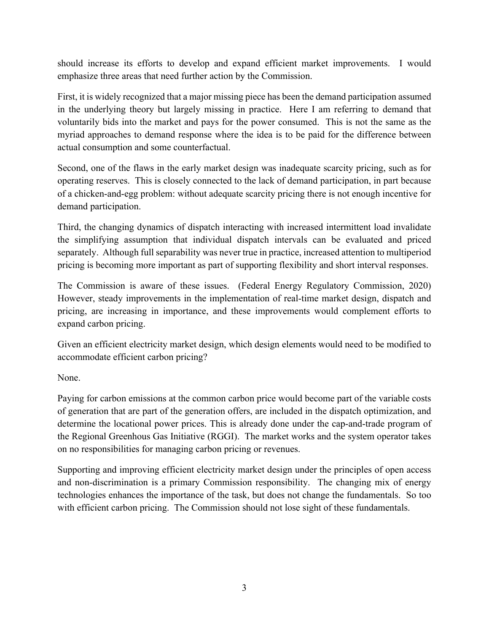should increase its efforts to develop and expand efficient market improvements. I would emphasize three areas that need further action by the Commission.

First, it is widely recognized that a major missing piece has been the demand participation assumed in the underlying theory but largely missing in practice. Here I am referring to demand that voluntarily bids into the market and pays for the power consumed. This is not the same as the myriad approaches to demand response where the idea is to be paid for the difference between actual consumption and some counterfactual.

Second, one of the flaws in the early market design was inadequate scarcity pricing, such as for operating reserves. This is closely connected to the lack of demand participation, in part because of a chicken-and-egg problem: without adequate scarcity pricing there is not enough incentive for demand participation.

Third, the changing dynamics of dispatch interacting with increased intermittent load invalidate the simplifying assumption that individual dispatch intervals can be evaluated and priced separately. Although full separability was never true in practice, increased attention to multiperiod pricing is becoming more important as part of supporting flexibility and short interval responses.

The Commission is aware of these issues. (Federal Energy Regulatory Commission, 2020) However, steady improvements in the implementation of real-time market design, dispatch and pricing, are increasing in importance, and these improvements would complement efforts to expand carbon pricing.

Given an efficient electricity market design, which design elements would need to be modified to accommodate efficient carbon pricing?

None.

Paying for carbon emissions at the common carbon price would become part of the variable costs of generation that are part of the generation offers, are included in the dispatch optimization, and determine the locational power prices. This is already done under the cap-and-trade program of the Regional Greenhous Gas Initiative (RGGI). The market works and the system operator takes on no responsibilities for managing carbon pricing or revenues.

Supporting and improving efficient electricity market design under the principles of open access and non-discrimination is a primary Commission responsibility. The changing mix of energy technologies enhances the importance of the task, but does not change the fundamentals. So too with efficient carbon pricing. The Commission should not lose sight of these fundamentals.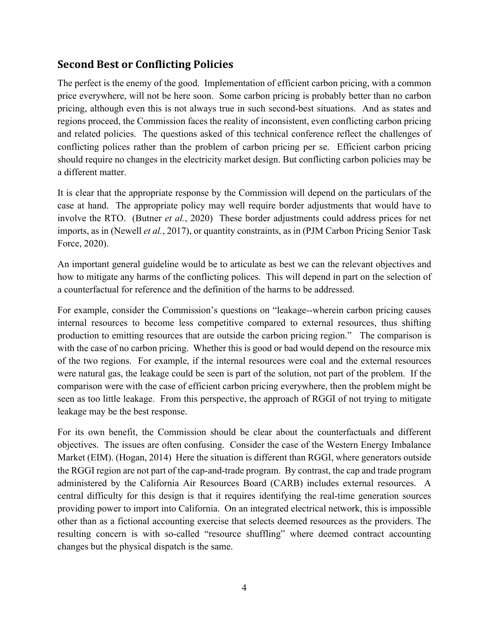#### **Second Best or Conflicting Policies**

The perfect is the enemy of the good. Implementation of efficient carbon pricing, with a common price everywhere, will not be here soon. Some carbon pricing is probably better than no carbon pricing, although even this is not always true in such second-best situations. And as states and regions proceed, the Commission faces the reality of inconsistent, even conflicting carbon pricing and related policies. The questions asked of this technical conference reflect the challenges of conflicting polices rather than the problem of carbon pricing per se. Efficient carbon pricing should require no changes in the electricity market design. But conflicting carbon policies may be a different matter.

It is clear that the appropriate response by the Commission will depend on the particulars of the case at hand. The appropriate policy may well require border adjustments that would have to involve the RTO. (Butner *et al.*, 2020) These border adjustments could address prices for net imports, as in (Newell *et al.*, 2017), or quantity constraints, as in (PJM Carbon Pricing Senior Task Force, 2020).

An important general guideline would be to articulate as best we can the relevant objectives and how to mitigate any harms of the conflicting polices. This will depend in part on the selection of a counterfactual for reference and the definition of the harms to be addressed.

For example, consider the Commission's questions on "leakage--wherein carbon pricing causes internal resources to become less competitive compared to external resources, thus shifting production to emitting resources that are outside the carbon pricing region." The comparison is with the case of no carbon pricing. Whether this is good or bad would depend on the resource mix of the two regions. For example, if the internal resources were coal and the external resources were natural gas, the leakage could be seen is part of the solution, not part of the problem. If the comparison were with the case of efficient carbon pricing everywhere, then the problem might be seen as too little leakage. From this perspective, the approach of RGGI of not trying to mitigate leakage may be the best response.

For its own benefit, the Commission should be clear about the counterfactuals and different objectives. The issues are often confusing. Consider the case of the Western Energy Imbalance Market (EIM). (Hogan, 2014) Here the situation is different than RGGI, where generators outside the RGGI region are not part of the cap-and-trade program. By contrast, the cap and trade program administered by the California Air Resources Board (CARB) includes external resources. A central difficulty for this design is that it requires identifying the real-time generation sources providing power to import into California. On an integrated electrical network, this is impossible other than as a fictional accounting exercise that selects deemed resources as the providers. The resulting concern is with so-called "resource shuffling" where deemed contract accounting changes but the physical dispatch is the same.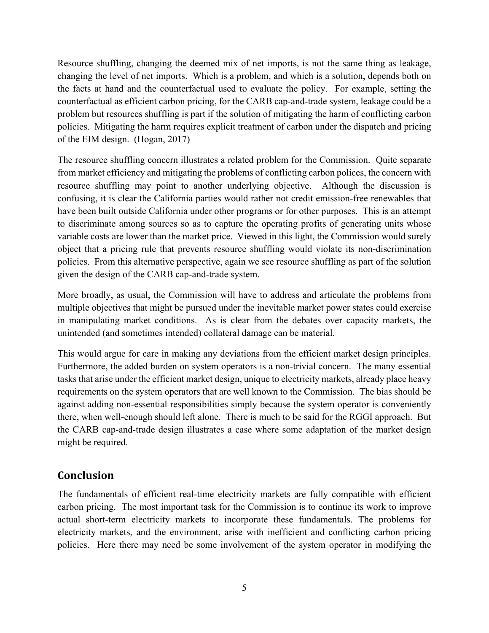Resource shuffling, changing the deemed mix of net imports, is not the same thing as leakage, changing the level of net imports. Which is a problem, and which is a solution, depends both on the facts at hand and the counterfactual used to evaluate the policy. For example, setting the counterfactual as efficient carbon pricing, for the CARB cap-and-trade system, leakage could be a problem but resources shuffling is part if the solution of mitigating the harm of conflicting carbon policies. Mitigating the harm requires explicit treatment of carbon under the dispatch and pricing of the EIM design. (Hogan, 2017)

The resource shuffling concern illustrates a related problem for the Commission. Quite separate from market efficiency and mitigating the problems of conflicting carbon polices, the concern with resource shuffling may point to another underlying objective. Although the discussion is confusing, it is clear the California parties would rather not credit emission-free renewables that have been built outside California under other programs or for other purposes. This is an attempt to discriminate among sources so as to capture the operating profits of generating units whose variable costs are lower than the market price. Viewed in this light, the Commission would surely object that a pricing rule that prevents resource shuffling would violate its non-discrimination policies. From this alternative perspective, again we see resource shuffling as part of the solution given the design of the CARB cap-and-trade system.

More broadly, as usual, the Commission will have to address and articulate the problems from multiple objectives that might be pursued under the inevitable market power states could exercise in manipulating market conditions. As is clear from the debates over capacity markets, the unintended (and sometimes intended) collateral damage can be material.

This would argue for care in making any deviations from the efficient market design principles. Furthermore, the added burden on system operators is a non-trivial concern. The many essential tasks that arise under the efficient market design, unique to electricity markets, already place heavy requirements on the system operators that are well known to the Commission. The bias should be against adding non-essential responsibilities simply because the system operator is conveniently there, when well-enough should left alone. There is much to be said for the RGGI approach. But the CARB cap-and-trade design illustrates a case where some adaptation of the market design might be required.

#### **Conclusion**

The fundamentals of efficient real-time electricity markets are fully compatible with efficient carbon pricing. The most important task for the Commission is to continue its work to improve actual short-term electricity markets to incorporate these fundamentals. The problems for electricity markets, and the environment, arise with inefficient and conflicting carbon pricing policies. Here there may need be some involvement of the system operator in modifying the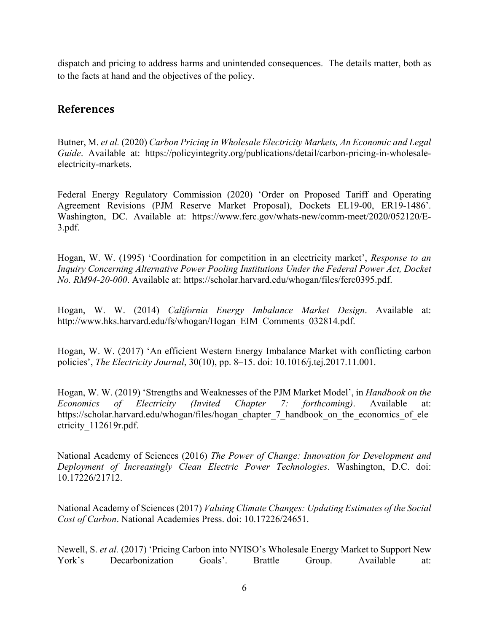dispatch and pricing to address harms and unintended consequences. The details matter, both as to the facts at hand and the objectives of the policy.

#### **References**

Butner, M. *et al.* (2020) *Carbon Pricing in Wholesale Electricity Markets, An Economic and Legal Guide*. Available at: https://policyintegrity.org/publications/detail/carbon-pricing-in-wholesaleelectricity-markets.

Federal Energy Regulatory Commission (2020) 'Order on Proposed Tariff and Operating Agreement Revisions (PJM Reserve Market Proposal), Dockets EL19-00, ER19-1486'. Washington, DC. Available at: https://www.ferc.gov/whats-new/comm-meet/2020/052120/E-3.pdf.

Hogan, W. W. (1995) 'Coordination for competition in an electricity market', *Response to an Inquiry Concerning Alternative Power Pooling Institutions Under the Federal Power Act, Docket No. RM94-20-000*. Available at: https://scholar.harvard.edu/whogan/files/ferc0395.pdf.

Hogan, W. W. (2014) *California Energy Imbalance Market Design*. Available at: http://www.hks.harvard.edu/fs/whogan/Hogan\_EIM\_Comments\_032814.pdf.

Hogan, W. W. (2017) 'An efficient Western Energy Imbalance Market with conflicting carbon policies', *The Electricity Journal*, 30(10), pp. 8–15. doi: 10.1016/j.tej.2017.11.001.

Hogan, W. W. (2019) 'Strengths and Weaknesses of the PJM Market Model', in *Handbook on the Economics of Electricity (Invited Chapter 7: forthcoming)*. Available at: https://scholar.harvard.edu/whogan/files/hogan\_chapter\_7\_handbook\_on\_the\_economics\_of\_ele ctricity\_112619r.pdf.

National Academy of Sciences (2016) *The Power of Change: Innovation for Development and Deployment of Increasingly Clean Electric Power Technologies*. Washington, D.C. doi: 10.17226/21712.

National Academy of Sciences (2017) *Valuing Climate Changes: Updating Estimates of the Social Cost of Carbon*. National Academies Press. doi: 10.17226/24651.

Newell, S. *et al.* (2017) 'Pricing Carbon into NYISO's Wholesale Energy Market to Support New York's Decarbonization Goals'. Brattle Group. Available at: